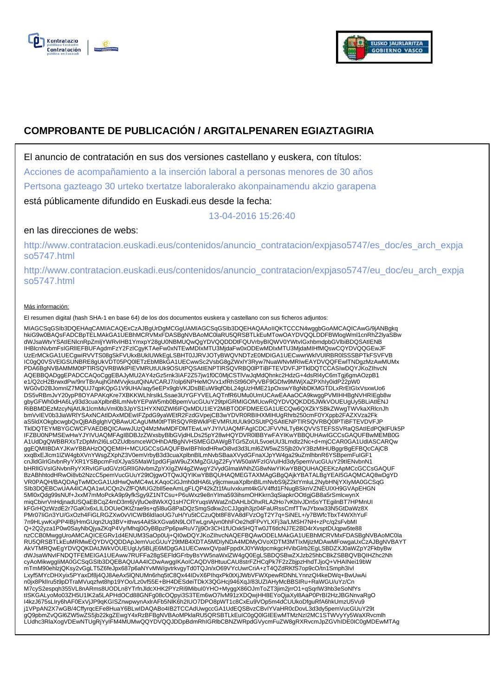



# **COMPROBANTE DE PUBLICACIÓN / ARGITALPENAREN EGIAZTAGIRIA**

El anuncio de contratación en sus dos versiones castellano y euskera, con títulos:

Acciones de acompañamiento a la inserción laboral a personas menores de 30 años

Pertsona gazteago 30 urteko txertatze laboralerako akonpainamendu akzio garapena

está públicamente difundido en Euskadi.eus desde la fecha:

13-04-2016 15:26:40

# en las direcciones de webs:

http://www.contratacion.euskadi.eus/contenidos/anuncio\_contratacion/expjaso5747/es\_doc/es\_arch\_expja so5747.html

http://www.contratacion.euskadi.eus/contenidos/anuncio\_contratacion/expjaso5747/eu\_doc/eu\_arch\_expja so5747.html

### Más información:

El resumen digital (hash SHA-1 en base 64) de los dos documentos euskera y castellano con sus ficheros adjuntos:

MIAGCSqGSIb3DQEHAqCAMIACAQExCzAJBgUrDgMCGgUAMIAGCSqGSIb3DQEHAQAAoIIQKTCCCN4wggbGoAMCAQICAwG/9jANBgkq<br>hkiG9w0BAQsFADCBpTELMAkGA1UEBhMcRVMxFDASBgNVBAoMC0laRU5QR5BTLkEuMTowOAYDVQQLDDFBWIogIWmI1cnRhZ2lyaSBw<br>dWJsaWtvYSAtIENIcnR UzErMCkGA1UECgwiRVVTS08gSkFVUkxBUklUWkEgLSBHT0JJRVJOTyBWQVNDTzE0MDIGA1UECwwrWklVUlRBR0lSSSBPTkFSVFVB IC0gQ0VSVElGSUNBRE8gUkVDT05PQ0lETzEbMBkGA1UECwwSc2VsbG8gZWxlY3Ryw7NuaWNvMRIwEAYDVQQFEwlTNDgzMzAwMUMx PDA6BgNVBAMMM0tPTlRSQVRBWklPIEVMRUtUUk9OSUtPQSAtIENPTlRSQVRBQ0lPTiBFTEVDVFJPTklDQTCCASIwDQYJKoZIhvcN AQEBBQADggEPADCCAQoCggEBAJyMU2AY4zGz5rnk3IAF2Z57jw1f0C0MjCSTlVwJqMdQhnkc2HdzG+4dsRl4yC6mTgj6gmAOzpB1 e1/Q2cH2BrwxdPw/9nrTBrAujhGhMVvjksutQiNA/CARJ7/olp6NPHeMOVx1xfRhSt96OPyVBF9GDfw9MWjXaZPXhIy0idP22pW0<br>WG0vD2BJomnlZ7MQUJ7qpKQpG1V9UHA/aqy5eEPx9gbVKJDsBEuW9qfObL24gUzHME21pOxswY8gNbDKMGTDLxRrEtGIxVsxwUo6 DS5vRBmJvY20ypP8OYAPAKqKre7XBKKWLhIrsIkLSsae3UYGFYVELAQTnfR6UMu0UmUCAwEAAaOCA9kwggPVMIHHBgNVHRIEgb8w<br>gbyGFWh0dHA6Ly93d3cuaXplbnBlLmNvbYEPaW5mb0BpemVucGUuY29tpIGRMIGOMUcwRQYDVQQKDD5JWkVOUEUgUy5BLiAtIENJ<br>RiBBMDEzMzcyNjAtUk1I bmVvIEV0b3JiaWRlYSAxNCAtIDAxMDEwIFZpdG9yaWEtR2FzdGVpejCB3wYDVR0RBIHXMIHUgRhrb250cmF0YXppb2FAZXVza2Fk aS5ldXOkgbcwgbQxQjBABglghVQBAwUCAgUMM0tPTlRSQVRBWklPIEVMRUtUUk9OSUtPQSAtIENPTlRSQVRBQ0lPTiBFTEVDVFJP TklDQTEYMBYGCWCFVAEDBQICAwwJUzQ4MzMwMDFDMTEwLwYJYIVUAQMFAgICDCJFVVNLTyBKQVVSTEFSSVRaQSAtIEdPQklFUk5P IFZBU0NPMSEwHwYJYIVUAQMFAgIBDBJzZWxsbyBlbGVjdHLDs25pY28wHQYDVR0lBBYwFAYIKwYBBQUHAwIGCCsGAQUFBwMEMB0G<br>A1UdDgQWBBRXsTzDpMn2l6LsOZUdbsmceWOHhDAfBgNVHSMEGDAWgBTGr5ZoUL5voeUU3Lmdlz2Nc+d+mjCCAR0GA1UdIASCARQw<br>ggEQMIIBDAYJKwYBBAHz xxqBxEJlcm1lZW4gbXVnYWsgZXphZ3V0emVrbyB3d3cuaXplbnBlLmNvbSBaaXVydGFnaXJpYW4ga29uZmlhbnR6YSBpemFuIGF1 cnJldGlrIGtvbnRyYXR1YSBpcmFrdXJyaS5MaW1pdGFjaW9uZXMgZGUgZ2FyYW50aWFzIGVuIHd3dy5pemVucGUuY29tIENvbnN1 bHRlIGVsIGNvbnRyYXRvIGFudGVzIGRlIGNvbmZpYXIgZW4gZWwgY2VydGlmaWNhZG8wNwYIKwYBBQUHAQEEKzApMCcGCCsGAQUF BzABhhtodHRwOi8vb2NzcC5pemVucGUuY29tOjgwOTQwJQYIKwYBBQUHAQMEGTAXMAgGBgQAjkYBATALBgYEAI5GAQMCAQ8wDgYD VR0PAQH/BAQDAgTwMDcGA1UdHwQwMC4wLKAqoCiGJmh0dHA6Ly9jcmwuaXplbnBlLmNvbS9jZ2ktYmluL2NybHNjYXIyMA0GCSqG SIb3DQEBCwUAA4ICAQA1wUCQn2vZfFQMUG2bll5eeAmLgFLQP42kZt1fAuIvxkumt4kG/V4ffd1FNugBSknVZNEUIXH9GVApEHGN<br>5Ml0xQdg99sNUf+JxxM7mMoPckA9p9yfkSgy9Z1NTCsu+P6uWxz9e8nYIma593ihsmOHKkrn3qSiapkrOOtIgjGB8a5rSmlcwynX miqCbivrVnHdjnadUSQaEBCqZ4mD3m6jVjfuOe8WkXQ1sH7CRYuqsWWatZnDAHLbOhxRLA2Ho7vKbIvJDn5sYTEgilnBT7HPMnUI kFGrHQzWzdE2r7GaKIx6xLILDOUeOKtZrae9s+q5l8uG8PaDQzSmgSdkw2cCJJgqih3jz04FaURssCmfTTwJYbxw33N5GtDaWz8X PMr07IiGn3YU/GxOzh4FiGLRGZXw0vVICWB6ldIaoUG7uH/Yu5tCCzuQbt8F8VA8dFVzOgT2Y7q+SiNEL+/y7BWfcTbxT4WXhYuF 7n9HLywKxjPP4IBj/HmGUqn2Uq3BV+ithws4AilSkXGva6N9LOlTwLgnAjvn0hhFOe2hdFPvYLXFj3a/LMSH7NH+zPc/q2sFvbMI Q+2Q2yza1P0w0SayNbQjyaZKqP4Vy/Mhqj0OyBBpzPp6pwRuV7jj9Or3CH1fUOxk5HQTw0JT6tlcNJ7E2BD4rXvsptDUqpw5te88 nzCCB0MwggUroAMCAQICEGRv1d4ENUM3SaOp0Uj+QI0wDQYJKoZIhvcNAQEFBQAwODELMAkGA1UEBhMCRVMxFDASBgNVBAoMC0la RU5QRSBTLkEuMRMwEQYDVQQDDApJemVucGUuY29tMB4XDTA5MDIyNDA4MDMyOVoXDTM3MTIxMjIzMDAwMFowgaUxCzAJBgNVBAYT AkVTMRQwEgYDVQQKDAtJWkVOUEUgUy5BLjE6MDgGA1UECwwxQVpaIFppdXJ0YWdpcmkgcHVibGlrb2EgLSBDZXJ0aWZpY2FkbyBw<br>dWJsaWNvIFNDQTFEMEIGA1UEAww7RUFFa28gSEFIdGFrbyBsYW5naWxlZW4gQ0EgLSBDQSBwZXJzb25hbCBkZSBBQVBQIHZhc2Nh<br>cyAoMikwggliMA0GCSqG mTmM90ehlzjQKsy2vGgLT5Z6feJpx687p6aNYvMW/gvtrkvgyTd0TQJn/xO69VYcUwrCriA+zT4QZdRKfS7op9cO/tn1Smph3Ivl Lxyf5MYcDHXyix5PYaxDf8j4QJ8AeAx5lQNUMn6rhq5tC8Qx44IDvX6PIhqxPk0tXjJWbVFWXpewRDNhLYnnzQI4keDWq+BwUwAi n0jx8PklIru5t9pDTraMVuqzfwt8hp19YOo/Lz0vf55E+BH4DESdeiTDkX3QGHcj946XqJ/83UZIAHyMcBBSIRu+RaWGU/uYz/Cn M7cyS2espqh355VL8nARms8UODLn8YTrfnJldcXHK2PYzRi9MibuI0YHO+MyggX86OJmToZT3jim2jrrO1+qSqrlW3hb3eSoNfYs<br>tISKGALyoMo03ZH5U1IK2a5LAPHdOCd88GNFg08cOQpyi3S3TEm6wO7lvM91zXDQwjHH8EYoQjaXyI8AaP0PrBI2HzJBGNnvaRgO<br>I4kzJ675sLIry6hAF0Ex j1VPpAN2X7wGB/4CffyrqcEFe8HuaY6BLwIDAQABo4IB2TCCAdUwgccGA1UdEQSBvzCBvIYVaHR0cDovL3d3dy5pemVucGUuY29t<br>gQ9pbmZvQGI6ZW5wZS5jb22kgZEwgY4xRzBFBgNVBAoMPklaRU5QRSBTLkEuIC0gQ0IGIEEwMTMzNzI2MC1STWVyYy5WaXRvcmlh<br>LUdhc3RlaXogVDEwNTUg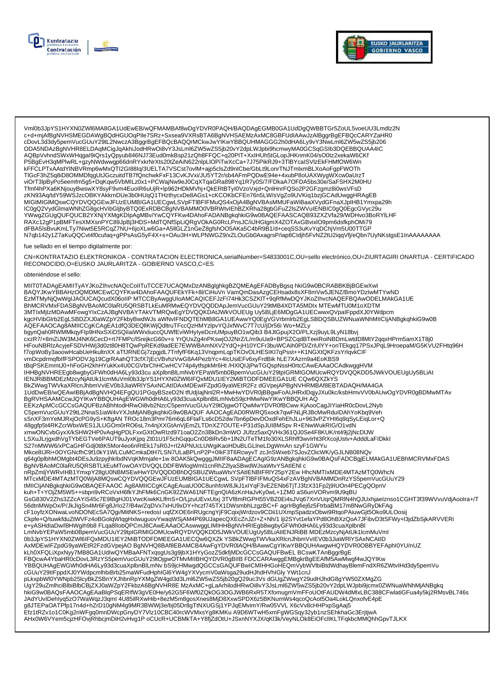



Vml0b3JpYS1HYXN0ZWl6MA8GA1UdEwEB/wQFMAMBAf8wDgYDVR0PAQH/BAQDAgEGMB0GA1UdDgQWBBTGr5ZoUL5voeUU3Lmdlz2N<br>c+d+mjAfBgNVHSMEGDAWgBQdHGUOqPIle7SRz+Sxsea9VXRsBTA6BgNVHSAEMzAxMC8GBFUdIAAwJzAlBggrBgEFBQcCARYZaHR0 cDovL3d3dy5pemVucGUuY29tL2NwczA3BggrBgEFBQcBAQQrMCkwJwYlKwYBBQUHMAGGG2h0dHA6Ly9vY3NwLml6ZW5wZS5jb206 ODA5NDAzBgNVHR8ELDAqMCigJqAkhiJodHRwOi8vY3JsLml6ZW5wZS5jb20vY2dpLWJpbi9hcmwyMA0GCSqGSIb3DQEBBQUAA4IC AQBpVvhndSWxWHqgal9iQrs1yQpyub846NJ73Eud0mkBsp21zQh8FFQC+q20PIT+XxIHUh5tGLopJHKnmK04/sO0tz2xekaW6CKf P5BgEvH3qMPlwRL+gzyNWdwwgp66dnRYxkrNrXts20tZeAiN622nlpLlOPiTwXcCa+7J75PikRJ9+3TlBYcaISVlzEkFHMfOW6Wn kFFCLPTxAAtdYINBVRmp6wMxQTI2GI88lq/3UELTA7VSCst7ovlM+ajp5clsZd9nICbe/GbLt9LonrTNJTmlxmBLXoAoFgpFWOTh<br>TIGcF3hZ5q8iD8OMMDfqgUtJGczuitdTB7fQnchwkFxF13CvKJVxi/JU5YT2r/sb4AFmPQDwE94e+4xubP8oUAXWygWXcw0aUrzT 11001 SilzbyPoSeemfm5g5+DqKqw5VbMILz0x1+PCWajNw9eJ0CqXTqaGRa898Yq1R7y0S/7/FDkaA7OFDA5bs30e/SaFSHX2M0HU<br>Tfmf4hPXa6KNjouyBwswXY8syF9vm4EuoIR6uUjR+lp962HDkMVhj+QkERtBTyI0VzoVxjd+QnlHnrFQSo2P2GFzgmz8i0wsVFsD zKN93Aq/tdY59WSJzcOBKYAKkrnDUe3b0HUqQ1THzthycxDe8AGs1+cKCOKbCFEn76n5LW/sVgZo9UVKiq1bzjGCAdUwggHRAgEB MIGtMIGIMQswCQYDVQQGEwJFUzEUMBIGA1UECgwLSVpFTIBFIFMuQS4xOjA4BgNVBAsMMUFaWiBaaXVydGFnaXJpIHB1Ymxpa29h IC0gQ2VydGlmaWNhZG8gcHVibGljbyBTQ0ExRDBCBgNVBAMMO0VBRWtvlEhBZXRha28gbGFuZ2lsZWVuIENBIC0gQ0EgcGVyc29u YWwgZGUgQUFQUCB2YXNjYXMgKDlpAgMBv/YwCQYFKw4DAhoFADANBgkqhkiG9w0BAQEFAASCAQB93ZXZVfa29/WDHvo3BoRYILHF RAXc12gP1pBMFTesXMXsnPYC89JpBj3HDS+MdTQNfSpLiQRgVOkAG0RcLPnsJC/iiJHGtgmX4ZOTAxGBvixIO9pm6dsfkphOMi79<br>dFBA5IsBvuKmLTy7Niwt5E5RCqZ7NU+6joXLw6Ga+A5IlGLZ1nGeZ8gfshOO5AKa5C4bR9B1/d+ceqSS3uKvYqDChjVm5U00TTGP N7qb142y1Z7aKuQQCvt4f0cufaq+gPPsAsG5yF4X+s+OAu3H+WLPNWGZ9/xZLOuGb0AxagrsP/iap8Cldjh5FvNZ2tU2iqqVfj/eQbn7UyNKstgsE1lnAAAAAAAA

### fue sellado en el tiempo digitalmente por:

CN=KONTRATAZIO ELEKTRONIKOA - CONTRATACION ELECTRONICA,serialNumber=S4833001C,OU=sello electrónico,OU=ZIURTAGIRI ONARTUA - CERTIFICADO RECONOCIDO, O=EUSKO JAURLARITZA - GOBIERNO VASCO, C=ES

#### obteniéndose el sello:

MIIT0TADAgEAMIITyAYJKoZIhvcNAQcCoIITuTCCE7UCAQMxDzANBglghkgBZQMEAgEFADByBgsq hkiG9w0BCRABBKBjBGEwXwl BAQYJKwYBBAHzOQMDMCEwCQYFKw4DAhoFAAQUFEkYFk+8l/CiHuVn VamQmDasAzgCEHsadx8sXF8mVw5JENZ/BmoYDzIwMTYwND EzMTMyNjQwWgIJAOUCAQcudX06oIIP MTCCByAwggUIoAMCAQICEFJzFI74Hk3CSZKIT+9qRfMwDQYJKoZIhvcNAQEFBQAwODELMAkGA1UE BhMCRVMxFDASBgNVBAoMC0laRU5QRSBTLkEuMRMwEQYDVQQDDApJemVucGUuY29tMB4XDTA5MDIx MTEwMTU0M1oXDTM 3MTIxMjIzMDAwMFowgYIxCzAJBgNVBAYTAkVTMRQwEgYDVQQKDAtJWkVOUEUg Uy5BLjE6MDgGA1UECwwxQVpaIFppdXJ0YWdpcm Sin'i Awar III May INCOLLATE AND THE MAN INTERNATIONAL TRANSPORT OF THE MAN INCOLLETE AND A MANUST A THE MAN I<br>AQEFAAOCAg8AMIICCgKCAgEA1dfQ3DEQIIKWjQdltruTFccQzHMYzlpvYQJxfWvC7T7cU/jDr56i Wo+MZLy<br>bgynQah0RWMMkqyFlp9HNxSXiD HFouNBRIzAcyjeFSDVHWj3d0zt80H8TQwPpREKd9adEE7EWWBAmNXV2YdQ+jH10YCFr3buWCAih0PD/ZriUlYY+onTEkgq17PSxJPqL9HroepaM/G5KVU2FHtq96H f7opWoBy3aoowHcabUeHKultnXX aTfJRNEGj7zpgjdL7TnfyfF6Kq13VnqpmLqpTKOvOLHESIKI7qPsst++K1NGXtQKFzsYrlqvkCIF vmDcpdrmqfblfFSPODVJg19CgrRAahQT3cfX7jEcVBvhzVwG8A4PezbYc+4lcUsiEFv6xyFrdBik hLE7XAzrn9a4EoKBS9 tBqPSKEmmtJ0+hFoGH2KhHYukKx4U0CGVbrChHCwHCV74p4ytfspkMr6Ht /HXIQIJjPwTGQspNssH0rtcCAwEAAaOCAdkwggHVM THE BONUT THE CONDUCTED AND THE CONDUCTED TO A MANUSCRIPT OF THE CONDUCTED TO A MANUTED SURFACT THE CONDUCTED SURFACT DURING ONLY AND THE CONDUCTED SURFACT DURING ONLY AND THE CONDUCTED SURFACT DURING ONLY AND THE CONDUCTE BkZWwqTWVkaXRIcnJhbmVvIEV0b3JiaWRIYSAxNCAtIDAxMDEwIFZpdG9yaWEtR2FzdGVpejAPBqNVHRMBAf8EBTADAQH/MA4GA 1UdDwEB/wQEAwIBBjAdBgNVHQ4EFgQU1PGqyBSzeD2N tfUdjlajNnl2R+MwHwYDVR0jBBgwFoAUHRxlDqjyJXu0kc/ksbHmvVV0bAUwOgYDVR0gBDMwMTAv BgRVHSAAMCcwJQYIKwYBBQUHAgEWGWh0dHA6Ly93d3cuaXplbnBlLmNvbS9jcHMwNwYIKwYBBQUHAQ EEKzApMCcGCCsGAQUFBzABhhtodHRwOi8vb2NzcC5pemVucGUuY29tOjgwOTQwMwYDVR0fBCww KjAooCagJlYiaHR0cDovL2Nyb C5pemVucGUuY29tL2NnaS1iaW4vYXJsMjANBgkqhkiG9w0BAQUF AAOCAgEAD0RWRQ5xock7qwFNLjRJBcMwRduIDAhYoKbq9Veh sSnXF3mYeMJRxjOcPG9yS+KftgAN TROc18m3Pmr76m6qL6FtaFLs6cD52dw7bn6pDevDOxdFehEhJLu+963vPZYHl6q9qSyLEiqLor+Q 48ggfp5t4RKZcrWbxWES1JLUGOm0rRO6sL7n4njXXGtAnVjEmZLTDnXZ7OUTE+P31dSpJUl8MSpv R+ENwWukRIG/O1vdN<br>xmwONCvbGyxX/kSHW2HP0vAqHgPDLFxxGXtOwRIzd971oaO2Zn3BkDn3mWOJUfzz5axQVHx361QJ0Se4F8KUK/nt49j2jNcDlJW kinwordbook with the Change of the All Theory of the Change of the Change of the Change of the Change of the Change of the Change of the Change of the Change of the Change of the Change of the Change of the Change of the C Mkce8IJRi+0OYGNcfhC9f10kY1WLCuMCmkaDtH7LSN7ULaBPLnP2P+0lkF3T6RcwyvTzcJnSWxeb7SJovZOicWK/yGJLNB08NQv q64g0plbhMOMgbt4DEsJu9zpyjhklbdNVqKMmjafe+1w 8OAK5kQwgggJMIIF8aADAgECAgIG9zANBgkqhkiG9w0BAQsFADCBgjELMAkGA1UEBhMCRVMxFDAS BgNVBAoMC0laRU5QRSBTLKEuMTowOAYDVQQLDDFBWlogWmI1cnRhZ2lyaSBwdWJsaWtvYSAtIENIc nRpZmljYWRvIHB1YmxpY28gU0NBMSEwHwYDVQQDDBhDQSBUZWtuaWtvYSAtIENBIFRIY25pY2Ew HhcNMTIxMDE4MTAzMTQ0WhcN kuh+T+YOjZM5W5++sbpn9vRCoVxH6fkYJhFMk6CnGK92ZWA61NFTEqnQIA6zKnHaJvKy0wL+1ZM0 aS6unVORvm9U9qBU GsG830V2Zhs3ZZcAYiS45c7E9lBgHJ01VwcKiwkKLIfmS+O/LjzuUEvxUtxj 3TVf8mRGPH55VBZ0Ei4sJVq67XnVUqrQMRIN4hQJUxhjaeIznso1CGHT3f39WVvuVdjAooIra+/T 56dtnMWpOx/P/JkJlgSn4Mr6Fg8Jrlo27/B4w/ZqDVx7xHU9xDY+hczf745TX1DWsmbhLzgzBC+FagrlrBgfiej6z5FtrbaBM17m8NwGRyDkFAg cF1oyfzXONwaLvoNDONEcSA7Qgi/MitNKS+redosl uqfZXOE6riRUgcngYjF9CqixjWrdzov9CDii1UXmpSpadzxObwi9RtqoPAiuwGjt5Oko9ULOosij Ckpfe+Q/tuwkfduZtWVFz4oBGolqWllqgHxlwuguovYwaqWSjAM4P69UJapecQXEcZnJZr+Z+Nh/1 lji2SYvt1efaYPd8OhBXzQoA7JFibvD3tSFWy+l3jdZbSjkARVVERi<br>e+yASHdlaDw/l8HWgih9b8 FLqa8llobQPCmJ8CAwEAAaOCAswwggLIMIHHBgNVHRIEgb8wgbyGFWh0dHA6Ly93d3 ery.com/about/with the magnitude of the community of the state of the community of the community of the community of the community of the community of the community of the community of the community of the community of the FBQcwA4YbaHR0cDovL3RzYS5pemVucGUuY29tOjgwOTMvMIIBHQYDVR0gBIIB FDCCARAwggEMBgkrBgEEAfM5AwMwgf4wJQYIKw YBBQUHAgEWGWh0dHA6Ly93d3cuaXplbnBlLmNv bS9jcHMwgdQGCCsGAQUFBwICMIHHGoHEQmVybWVlbiBtdWdhayBlemFndXR6ZWtvlHd3dy5pemVu "COULY29tlFppdXJ0YWdpcmlhbiBrb25maWFudHphIGl6YW4gYXVycmV0aWsga29udHJhdHVhIGly YWttchJ<br>pLkxpbWl0YWNpb25lcyBkZSBnYXJhbnRpYXMgZW4gd3d3Lml6ZW5wZS5jb20gQ29uc3Vs dGUgZWwgY29udHJhdG8gYW50ZXMgZG<br>UgY29uZmlhciBlbiBlbCBjZXJ0aWZpY2Fkb JAdYUvIDehlyq5zO7WaWqzJ3qml 4U85ilRXwHib+8ezM5m8gosXnes8MjD8XxwSPDX6z5BKNumWs4qcoQcAot5Oa4LokLQnxofvE4pE g8JTEPaOATPfp17n4d+hZrD10gNM4g9MR3BWWj3e/bj05Dr8gTtNXUGSj1YPJqEMvimY/Rw05VVLX6cVv8cHHPxpSgAaj5 Efz1tRZv1o1C0Kg2nWFgq0mnDWcpGnyDY7Vlz10CBC40rcWVMxsYg8KMKu A9D6WTwH5xmFgWGSqy32yb1nzSEhkhaGc3ErjtjwA AHx0W6VYem5cjzHFOvjRhbcjmDiH2vHvg1PoCUcR+UCBMkTA+Y8fjZdOtU+JSxnNYXJX/qKl3kVeyNLOk8EiOFclIKLTFqkbcMMQhhGpvTJLKX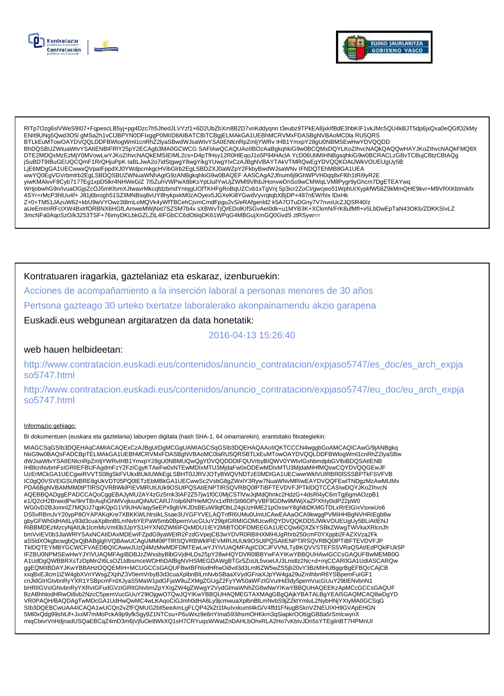



RITp7Ozg6slVWeS9l07+FqpescLB5yj+pg4Dzc7h5JhedJLVYzf1+6D2UbZbXm8B2D7vnKddyqnn t3eubz9TPkEA8jxklfBdE3hbKIF1vkJMc5QU4kBJT5dp6jxQxa0eQGfO2kMy<br>ENIt9UNg5Qwd3O5I gMSa2h1vCIJBPYN0DFIxggP0MIID8AIBATCBiTCBgjELMAkGA1UEBhMCRVMxFDASBgN BTLkEuMTowOAYDVQQLDDFBWlogWml1cnRhZ2lyaSBwdWJsaWtvYSAtIENlcnRpZmljYWRv IHB1YmxpY28gU0NBMSEwHwYDVQQDD BhDQSBUZWtuaWtvYSAtIENBIFRIY25pY2ECAgb3MA0GCWCG SAFIAwQCAQUAoIIBOzAaBgkqhkiG9w0BCQMxDQYLKoZIhvcNAQkQAQQwHAYJKoZIhvcNAQkFMQ8X DTE2MDQxMzEzMjY0MVowLwYJKoZIhvcNAQkEMSIEIML2cs+D4pTfHsy12R0HlEqoJ1o5P94HAclAYcD06UtiMIHNBgsqhkiG9w0BCRACLzGBvTCBujCBtzCBtAQg jSuBDT9IBuGEUQCQmF1RrQHjuPpK laBLJwA2o7idStgwgY8wgYikgYUwgYIxCzAJBgNVBAYTAkVTMRQwEgYDVQQKDAtJWkVOUEUgUy5B LJE6MDgGA1UECwwxQVpalFppdXJ0YWdpcmkgcHVibGlrb2EgLSBDZXJ0aWZpY2FkbyBwdWJsaWNv IFNDQTEhMB8GA1UEA<br>wwYQ0EgVGVrbmlrb2EgLSBDQSBUZWNuaWNhAgIG9zANBgkqhkiG9w0BAQEF AASCAgA2Jfnum6j9GhWPVH0qq8xFl6h1tRi9yR2E 4SYr+rMcP3hlUu4f+J81j6brogh51SZIIMNBsq8vUY8hykpxkM0zAOyex5JGXeKi8YGwdVyvrqtqbXBjDP+487nEW/hlx IDxHk Z+0+TM51JAzuW62+kbU9wVYOwz3t8rnLoMQVk4yWfTBCehCjvmCmdFpgu2vS/eRAfgenId2 k5A7OTuDGny7V7nvoUcZJQSR40/z aUeEmImRFcIXW4BxIrfORBNX6HGfLAmweMWjNxt7SZSM7b4x sXBWvTjQrEDolKIfSGvAeI0dk+u1MYB3K+XCkmN/FrK8ufMfI+v5LbDwEpTaN43OKb/ZDKKSIvLZ 3mcNFa0AqoSzO/k3253TSF+76imyDKLbkGZLZtL4IFGbCC6dOtiiqDK61WPqG4MBGujXmGQ0GvdS ztRSyw==

Kontratuaren iragarkia, gaztelaniaz eta eskaraz, izenburuekin:

Acciones de acompañamiento a la inserción laboral a personas menores de 30 años

Pertsona gazteago 30 urteko txertatze laboralerako akonpainamendu akzio garapena

Euskadi.eus webgunean argitaratzen da data honetatik:

# 2016-04-13 15:26:40

## web hauen helbideetan:

http://www.contratacion.euskadi.eus/contenidos/anuncio contratacion/expjaso5747/es doc/es arch expja so5747.html

http://www.contratacion.euskadi.eus/contenidos/anuncio\_contratacion/expjaso5747/eu\_doc/eu\_arch\_expja so5747.html

### Informazio gehiago:

Bi dokumentuen (euskara eta gaztelania) laburpen digitala (hash SHA-1, 64 oinarriarekin), erantsitako fitxategiekin:

MIAGCSqGSIb3DQEHAqCAMIACAQExCzAJBgUrDgMCGgUAMIAGCSqGSIb3DQEHAQAAoIIQKTCCCN4wggbGoAMCAQICAwG/9jANBgkq hkiG9w0BAQsFADCBpTELMAkGA1UEBhMCRVMxFDASBgNVBAoMC0laRU5QRSBTLkEuMTowOAYDVQQLDDFBWlogWml1cnRhZ2lyaSBw dWJsaWtvYSAtIENIcnRpZmjYWRvIHB1YmxpY28gU0NBMUQwQgYDVQQDDDtFQUVrbyBIQWV0YWtvIGxhbmdpbGVIbiBDQSAtIENB IHBlcnNvbmFsiGRIIEFBUFAgdmFzY2FzICgyKTAeFw0xNTEwMDIxMTU3MjdaFw0xODEwMDIxMTU3MjdaMIHfMQswCQYDVQQGEwJF<br>UzErMCkGA1UECgwiRVVTS08gSkFVUkxBUkIUWkEgLSBHT0JJRVJOTyBWQVNDTzE0MDIGA1UECwwrWkIVUIRBR0ISSSBPTkFSVFVB UCONSULTING TRANSPORT IN THE RESERVED ON THE RELATIONS OF THE RELATION OF THE RELATION OF THE RELATION OF THE<br>PDA6BgNVBAMMM0tPTIRSQVRBWkIPIEVMRUtUUk9OSUtPQSAtIENPTIRSQVRBQ0IPTIBFTEVDVFJPTkIDQTCCASIwDQYJKoZIhvcN AQEBBQADggEPADCCAQoCggEBAJyMU2AY4zGz5rnk3IAF2Z57jw1f0C0MjCSTIVwJqMdQhnkc2HdzG+4dsRl4yC6mTgj6gmAOzpB1 e1/Q2cH2BrwxdPw/9nrTBrAujhGhMVvjksutQiNA/CARJ7/olp6NPHeMOVx1xfRhSt96OPyVBF9GDfw9MWjXaZPXhly0idP22pW0 WG0vD2BJomnlZ7MQUJ7qpKQpG1V9UHA/aqy5eEPx9gbVKJDsBEuW9qfObL24gUzHME21pOxswY8gNbDKMGTDLxRrEtGlxVsxwUo6 DS5vRBmJvY20ypP8OYAPAKqKre7XBKKWLnIrslkLSsae3UYGFYVELAQTnfR6UMu0UmUCAwEAAaOCA9kwggPVMIHHBgNVHRIEgb8w %DOCKTR/h0dHA6Ly93d3cuaXplbnBlLmNvbYEPaW5mb0BpemVucGUuY29tpIGRMIGOMUcwRQYDVQQKDD5JWkVOUEUgUy5BLiAtlENJ<br>RIBBMDEzMzcyNjAtUk1lcmMuVml0b3JpYS1HYXN0ZWI6IFQxMDU1IEY2MiBTODFDMEEGA1UECQw6QXZkYSBkZWwgTWVkaXRlcnJh TkIDQTEYMBYGCWCFVAEDBQICAwwJUzQ4MzMwMDFDMTEwLwYJYIVUAQMFAgICDCJFVVNLTyBKQVVSTEFSSVRaQSAtIEdPQkIFUk5P IFZBU0NPMSEwHwYJYIVUAQMFAgIBDBJzZWxsbyBlbGVjdHLDs25pY28wHQYDVR0IBBYwFAYIKwYBBQUHAwIGCCsGAQUFBwMEMB0G A1UdDgQWBBRXsTzDpMn2l6LsOZUdbsmceWOHhDAfBgNVHSMEGDAWgBTGr5ZoUL5voeUU3Lmdlz2Nc+d+mjCCAR0GA1UdIASCARQw ggEQMIIBDAYJKwYBBAHzOQQEMIH+MCUGCCsGAQUFBwIBFhlodHRwOi8vd3d3Lml6ZW5wZS5jb20vY3BzMIHUBggrBgEFBQcCAjCB xxqBxEJlcm1lZW4gbXVnYWsgZXphZ3V0emVrbyB3d3cuaXplbnBlLmNvbSBaaXVydGFnaXJpYW4ga29uZmlhbnR6YSBpemFulGF1 cnJldGlrlGtvbnRyYXR1YSBpcmFrdXJyaS5MaW1pdGFjaW9uZXMgZGUgZ2FyYW50aWFzIGVulHd3dy5pemVucGUuY29tlENvbnN1 chulusiniewoliney zachrzenienia wydasowany i puszylaznego wydarzenia wydarzenia wydarzenia wydarzenia wydarzeni<br>http://www.archive.com/statusinienia wydarzenia wydarzenia wydarzenia wydarzenia wydarzenia wydarzenia wydar VR0PAQH/BAQDAgTwMDcGA1UdHwQwMC4wLKAqoCiGJmh0dHA6Ly9jcmwuaXplbnBlLmNvbS9jZ2ktYmluL2NybHNjYXIyMA0GCSqG SIb3DQEBCwUAA4ICAQA1wUCQn2vZfFQMUG2bll5eeAmLgFLQP42kZt1fAulvxkumt4kG/V4ffd1FNugBSknVZNEUIXH9GVApEHGN 5Ml0xQdg99sNUf+JxxM7mMoPckA9p9yfkSgy9Z1NTCsu+P6uWxz9e8nYIma593ihsmOHKkrn3qSiapkrOOtlgjGB8a5rSmlcwynX miqCbivrVnHdjnadUSQaEBCqZ4mD3m6jVjfuOe8WkXQ1sH7CRYuqsWWatZnDAHLbOhxRLA2Ho7vKblvJDn5sYTEgilnBT7HPMnUI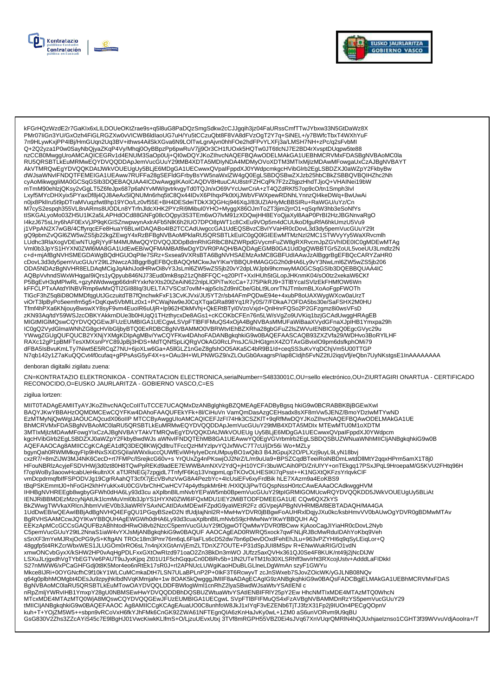



kFGrHQzWzdE2r7GaKIx6xLILDOUeOKtZrae9s+q5l8uG8PaDQzSmgSdkw2cCJJgqih3jz04FaURssCmfTTwJYbxw33N5GtDaWz8X PMr07liGn3YU/GxOzh4FiGLRGZXw0vVICWB6ldlaoUG7uH/Yu5tCCzuQbt8F8VA8dFVzOqT2Y7q+SiNEL+/y7BWfcTbxT4WXhYuF 7n9HLywKxjPP4IBj/HmGUqn2Uq3BV+ithws4AilSkXGva6N9LOITwLgnAjvn0hhFOe2hdFPvYLXFj3a/LMSH7NH+zPc/q2sFvbMI Q+2Q2yza1P0w0SayNbQjyaZKqP4Vy/Mhqj0OyBBpzPp6pwRuV7jj9Or3CH1fUOxk5HQTw0JT6tlcNJ7E2BD4rXvsptDUqpw5te88 nzCCB0MwggUroAMCAQICEGRv1d4ENUM3SaOp0Uj+Ql0wDQYJKoZlhvcNAQEFBQAwODELMAkGA1UEBhMCRVMxFDASBgNVBAoMC0la RU5QRSBTLKEuMRMwEQYDVQQDDApJemVucGUuY29tMB4XDTA5MDIyNDA4MDMyOVoXDTM3MTIxMjIzMDAwMFowgaUxCzAJBgNVBAYT NUSTAN CONDENSIVE OF DESCRIPTION AND DECISION OF THE CONDENSIVE AND THE PROXIMITY OF THE RESERVED SECTION OF THE RESERVED OF THE RESERVED OF THE RESERVED OF THE RESERVED OF THE RESERVED OF THE RESERVED OF THE RESERVED OF T Lxyf5MYcDHXyix5PYaxDf8j4QJ8AeAx5lQNUMn6rhq5tC8Qx44IDvX6PlhqxPk0tXjJWbVFWXpewRDNhLYnnzQl4keDWq+BwUwAi n0jx8Pkllru5t9pDTraMVuqzfwt8hp19YOo/Lz0vf55E+BH4DESdeiTDkX3QGHcj946XqJ/83UZIAHyMcBBSIRu+RaWGU/uYz/Cn M7cyS2espqh355VL8nARms8UODLn8YTrfnJldcXHK2PYzRi9Mibul0YHO+MyggX86OJmToZT3jim2jrrO1+qSqrlW3hb3eSoNfYs tISKGALyoMo03ZH5U1IK2a5LAPHdOCd88GNFg08cOQpyi3S3TEm6wO7lvM91zXDQwjHH8EYoQjaXyI8AaP0PrBI2HzJBGNnvaRgO 14KzJ675sL1ry6hAF0ExVjJP9qKGISZnwpwynAxIrAFb5NIK6h2IUO7DPO8pWT1c8CxEu9VOp5m4dCUUkoDfguRfA6hkUmzU5Vu9<br>j1VPpAN2X7wGB/4CffyrqcEFe8HuaY6BLwIDAQABo4IB2TCCAdUwgccGA1UdEQSBvzCBvIYVaHR0cDovL3d3dy5pemVucGUuY29t yrv=pAnz∧rwob/%Delet=enuarob.com/maxAbu4HDz+CCAu0wgccoArruuteGbRDxCDrP/DamNcDovE3030ypermvucourzyr<br>gQ9pbmZvQGl6ZW5wZS5jb22kgZEwgY4xRzBFBgNVBAoMPklaRU5QRSBTLkEuIC0gQ0lGIEEwMTMzNzI2MC1STWVyYy5WaXRvcmlh<br>LUdhc3RlaXogVDEwNTUg - CONNOCATE TRANSPORT AND THE RELATIONS OF A MANUSCRIPTION OF A CONTROL OF A CONDUCT AND THE RELATIONS OF A CONDUCT AND A CONDUCT AND A CONDUCT AND A CONDUCT AND A CONDUCT ON A CONDUCT OF SAMPLE OF SAMPLE OF SAMPLE AND CAL cDovL3d3dy5pemVucGUuY29tL2NwczA3BggrBgEFBQcBAQQrMCkwJwYiKwYBBQUHMAGGG2h0dHA6Ly9vY3NwLml6ZW5wZS5jb206 ODA5NDAzBgNVHR8ELDAqMCigJqAkhiJodHRwOi8vY3JsLml6ZW5wZS5jb20vY2dpLWJpbi9hcmwyMA0GCSqGSlb3DQEBBQUAA4IC AQBpVvhndSWxWHqgal9iQrs1yQpyub846NJ73Eud0mkBsp21zQh8FFQC+q20PIT+XxIHUh5tGLopJHKnmK04/sO0tz2xekaW6CKf<br>P5BgEvH3qMPlwRL+gzyNWdwwgp66dnRYxkrNrXts20tZeAiN622nlpLlOPiTwXcCa+7J75PikRJ9+3TlBYcalSVlzEkFHMfOW6Wn , επερευτογραφή των ευτερχείνων προσωπική επιτροποιεία της προσωπικής του προσωπικού του προσωπικού του του το<br>- ΚΕΡΟΣΕΡΤΧΑΑΙαΥΙΝΒΥΡΩΡΩΡΩΝΩΤΙ2GI88Iq/3UELTA7VSCst7ovIM+ajp5clsZd9nICbe/GbLt9LonrTNJTmlxmBLXoAoFgpFWOTh<br>- TIG viOrT3lpByPo5eemfm5g5+DqKqw5VbMILz0x1+PCWajNw9eJ0CqXTqaGRa898Yq1R7y0S/7/FDkaA7OFDA5bs30e/SaFSHX2M0HU Tfmf4hPXa6KNjouyBwswXY8syF9vm4EuoIR6uUjR+lp962HDkMVhj+QkERtBTyI0VzoVxjd+QnlHnrFQSo2P2GFzgmz8i0wsVFsD zKN93Aq/tdY59WSJzcOBKYAKkrnDUe3b0HUqQ1THzthycxDe8AGs1+cKCOKbCFEn76n5LW/sVgZo9UVKiq1bzjGCAdUwggHRAgEB MIGtMIGIMQswCQYDVQQGEwJFUzEUMBIGA1UECgwLSVpFTIBFIFMuQS4xOjA4BgNVBAsMMUFaWiBaaXVydGFnaXJpIHB1Ymxpa29h ICOgQ2VydGlmaWNhZG8gcHVibGljbyBTQ0ExRDBCBgNVBAMMO0VBRWtvIEhBZXRha28gbGFuZ2lsZWVuIENBIC0gQ0EgcGVyc29u<br>YWwgZGUgQUFQUCB2YXNjYXMgKDlpAgMBv/YwCQYFKw4DAhoFADANBgkqhkiG9w0BAQEFAASCAQB93ZXZVfa29/WDHvo3BoRYILHF Tww.good.com/set/2007/2012/http://www.arthust.com/set/2007/2012/http://www.arthust.com/set/2007/2012/http://www.arthust.com/set/2007/2012/http://www.arthust.com/set/2007/2012/http://www.arthust.com/set/2007/2012/http://www N7qb142y1Z7aKuQQCvt4f0cufaq+gPPsAsG5yF4X+s+OAu3H+WLPNWGZ9/xZLOuGb0AxagrsP/iap8Cldjh5FvNZ2tU2iqqVfj/eQbn7UyNKstgsE1lnAAAAAAAA

#### enboran digitalki zigilatu zuena:

CN=KONTRATAZIO ELEKTRONIKOA - CONTRATACION ELECTRONICA,serialNumber=S4833001C,OU=sello electrónico,OU=ZIURTAGIRI ONARTUA - CERTIFICADO RECONOCIDO, O=EUSKO JAURLARITZA - GOBIERNO VASCO, C=ES

#### zigilua lortzen:

MIIT0TADAgEAMIITyAYJKoZIhvcNAQcCoIITuTCCE7UCAQMxDzANBglghkgBZQMEAgEFADByBgsq hkiG9w0BCRABBKBjBGEwXwl BAQYJKwYBBAHzOQMDMCEwCQYFKw4DAhoFAAQUFEkYFk+8l/CiHuVn VamQmDasAzgCEHsadx8sXF8mVw5JENZ/BmoYDzIwMTYwND EzMTMyNjQwWgIJAOUCAQcudX06oIIP MTCCByAwggUIoAMCAQICEFJzFI74Hk3CSZKIT+9qRfMwDQYJKoZIhvcNAQEFBQAwODELMAkGA1UE AQEFAAOCAg8AMIICCgKCAgEA1dfQ3DEQIIKWjQdltruTFccQzHMYzlpvYQJxfWvC7T7cU/jDr56i Wo+MZLy bgynQah0RWMMkqyFlp9HNxSXiDSQilaiWWxliuccQUWfEviWHyIyeDcnUMpuyBO1wQib3 B4JtGpujX2O/PLXzj9uyL9LyN18bvj cxzR7/+8mZiJW3MJ4NK6CecD+rt7FMPc/lSrejkcG60v+s YrQUxZg4nPKswjOJ2NrZ/L/m9uUa9+BPSZCqdBTeeiRoINBDmLwtdDllMtY2qqxHPrm5amX1T8j0 HFouNBRIzAcyjeFSDVHWj3d0zt80H8TQwPpREKd9adEE7EWWBAmNXV2YdQ+jH10YCFr3buWCAih0PD/ZriUIYY+onTEkgq17PSxJPqL9HroepaM/G5KVU2FHtq96H f7opWoBy3aoowHcabUeHkultnXX aTfJRNEGj7zpgjdL7TnfyfF6Kq13VnqpmLqpTKOvOLHESIKI7qPsst++K1NGXtQKFzsYrlqvkClF<br>vmDcpdrmqfblfFSPODVJg19CgrRAahQT3cfX7jEcVBvhzVwG8A4PezbYc+4lcUsiEFv6xyFrdBik hLE7XAzm9a4EoKBS9 tBqPSKEmmtJ0+hFoGH2khHYukKx4U0CGVbrChHCwHCV74p4ytfspkMr6Ht/HXIQIJjPwTGQspNssH0rtcCAwEAAaOCAdkwggHVM IHHBgNVHREEgb8wgbyGFWh0dHA6Ly93d3cu aXplbnBlLmNvbYEPaW5mb0BpemVucGUuY29tpIGRMIGOMUcwRQYDVQQKDD5JWkVOUEUgUy5BLiAt IENJRIBBMDEzMzcyNjAtUk1lcmMuVml0b3JpYS1HYXN0ZWI6IFQxMDU1IEY2MiBTODFDMEEGA1UE CQw6QXZkYS BkZWwgTWVkaXRlcnJhbmVvlEV0b3JiaWRIYSAxNCAtIDAxMDEwIFZpdG9yaWEtR2Fz dGVpejAPBgNVHRMBAf8EBTADAQH/MA4GA 1UdDwEB/wQEAwIBBjAdBgNVHQ4EFgQU1PGqyBSzeD2N tfUdjIajNnl2R+MwHwYDVR0jBBgwFoAUHRxlDqjyJXu0kc/ksbHmvVV0bAUwOgYDVR0gBDMwMTAv BgRVHSAAMCcwJQYIKwYBBQUHAgEWGWh0dHA6Ly93d3cuaXplbnBlLmNvbS9jcHMwNwYIKwYBBQUHAQ EEKzApMCcGCCsGAQUFBzABhhtodHRwOi8vb2NzcC5pemVucGUuY29tOjgwOTQwMwYDVR0fBCww KjAooCagJlYiaHR0cDovL2Nyb 48ggfp5t4RKZcrWbxWES1JLUGOm0rRO6sL7n4njXXGtAnVjEmZLTDnXZ7OUTE+P31dSpJUl8MSpvR+ENwWukRIG/O1vdN xmwONCvbGyxX/kSHW2HP0vAqHgPDLFxxGXtOwRIzd971oaO2Zn3BkDn3mWOJUfzz5axQVHx361QJ0Se4F8KUK/nt49j2jNcDIJW LAXuJLrjgxdhVgTYbEGTVe6PAUT9uJyxKjpq Zt01U1F5chGqquCn0D8iRv5b+1IN2UTeTM1fo30XLSRhff3wvIrht3RXcojUstv+AdddLaFIDkkl<br>S27nMWW6/xPCaGHFGdj0t8K5Mor4eo6nRtEk17sR0J+rl2APNUcLUWgiKaoHDuBLGLIneLDgWmAn szyF1GWYu MTcxMDE4MTAzMTQ0WjA8MQswCQYDVQQGEwJFUzEUMBIGA1UECgwLSVpFTIBFIFMuQS4xFzAVBgNVBAMMDnRzYS5pemVucGUuY29 tMIICIjANBgkqhkiG9w0BAQEFAAOC Ag8AMIICCgKCAgEAuaUO0C8unhfoW8JkJ1xIYqF3vEZENb6TjTJ3fzX31Fp2j9IUOn4PECgQOpnV kuh+T+YOjZM5W5++sbpn9vRCoVxH6fkYJhFMk6CnGK92ZWA61NFTEgnQIA6zKnHaJvKy0wL+1ZM0 aS6unVORvm9U9qBU GsG830V2Zhs3ZZcAYiS45c7E9lBgHJ01VwcKiwkKLlfmS+O/LjzuUEvxUtxj 3TVf8mRGPH55VBZ0Ei4sJVq67XnVUqrQMRIN4hQJUxhjaelznso1CGHT3f39WVvuVdjAooIra+/T